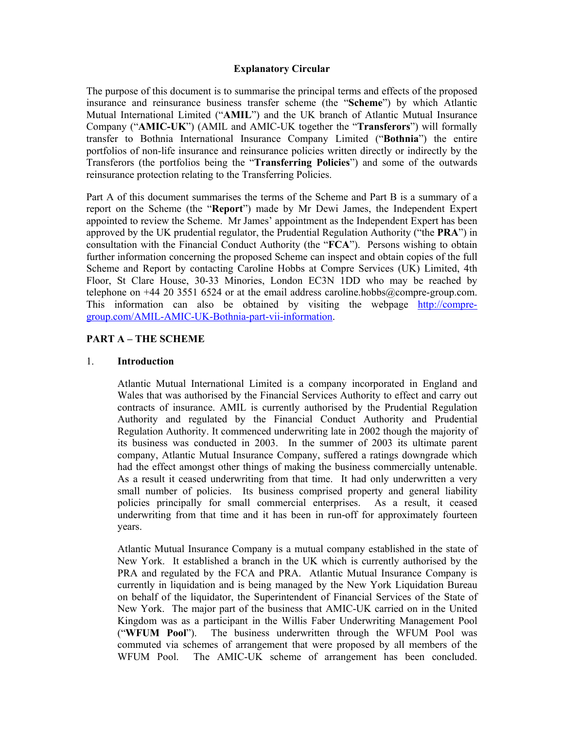#### **Explanatory Circular**

The purpose of this document is to summarise the principal terms and effects of the proposed insurance and reinsurance business transfer scheme (the "**Scheme**") by which Atlantic Mutual International Limited ("**AMIL**") and the UK branch of Atlantic Mutual Insurance Company ("**AMIC-UK**") (AMIL and AMIC-UK together the "**Transferors**") will formally transfer to Bothnia International Insurance Company Limited ("**Bothnia**") the entire portfolios of non-life insurance and reinsurance policies written directly or indirectly by the Transferors (the portfolios being the "**Transferring Policies**") and some of the outwards reinsurance protection relating to the Transferring Policies.

Part A of this document summarises the terms of the Scheme and Part B is a summary of a report on the Scheme (the "**Report**") made by Mr Dewi James, the Independent Expert appointed to review the Scheme. Mr James' appointment as the Independent Expert has been approved by the UK prudential regulator, the Prudential Regulation Authority ("the **PRA**") in consultation with the Financial Conduct Authority (the "**FCA**"). Persons wishing to obtain further information concerning the proposed Scheme can inspect and obtain copies of the full Scheme and Report by contacting Caroline Hobbs at Compre Services (UK) Limited, 4th Floor, St Clare House, 30-33 Minories, London EC3N 1DD who may be reached by telephone on  $+44$  20 3551 6524 or at the email address caroline.hobbs@compre-group.com. This information can also be obtained by visiting the webpage http://compregroup.com/AMIL-AMIC-UK-Bothnia-part-vii-information.

#### **PART A – THE SCHEME**

#### 1. **Introduction**

Atlantic Mutual International Limited is a company incorporated in England and Wales that was authorised by the Financial Services Authority to effect and carry out contracts of insurance. AMIL is currently authorised by the Prudential Regulation Authority and regulated by the Financial Conduct Authority and Prudential Regulation Authority. It commenced underwriting late in 2002 though the majority of its business was conducted in 2003. In the summer of 2003 its ultimate parent company, Atlantic Mutual Insurance Company, suffered a ratings downgrade which had the effect amongst other things of making the business commercially untenable. As a result it ceased underwriting from that time. It had only underwritten a very small number of policies. Its business comprised property and general liability policies principally for small commercial enterprises. As a result, it ceased underwriting from that time and it has been in run-off for approximately fourteen years.

Atlantic Mutual Insurance Company is a mutual company established in the state of New York. It established a branch in the UK which is currently authorised by the PRA and regulated by the FCA and PRA. Atlantic Mutual Insurance Company is currently in liquidation and is being managed by the New York Liquidation Bureau on behalf of the liquidator, the Superintendent of Financial Services of the State of New York. The major part of the business that AMIC-UK carried on in the United Kingdom was as a participant in the Willis Faber Underwriting Management Pool ("**WFUM Pool**"). The business underwritten through the WFUM Pool was commuted via schemes of arrangement that were proposed by all members of the WFUM Pool. The AMIC-UK scheme of arrangement has been concluded.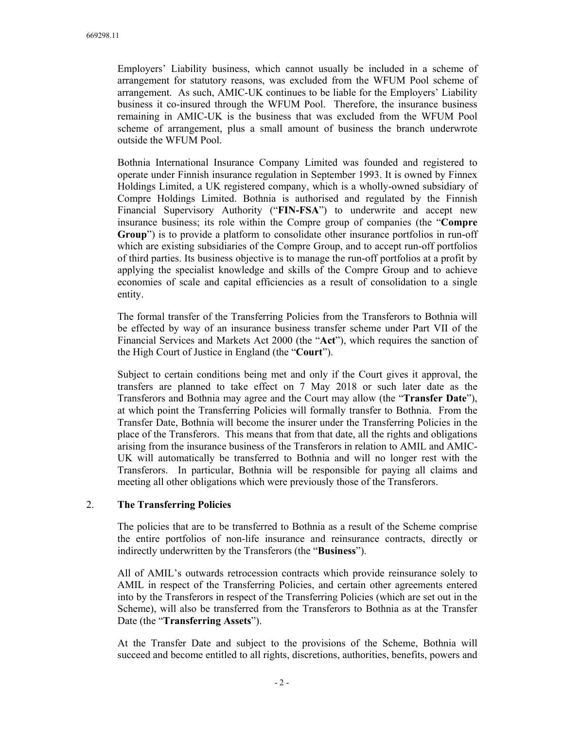Employers' Liability business, which cannot usually be included in a scheme of arrangement for statutory reasons, was excluded from the WFUM Pool scheme of arrangement. As such, AMIC-UK continues to be liable for the Employers' Liability business it co-insured through the WFUM Pool. Therefore, the insurance business remaining in AMIC-UK is the business that was excluded from the WFUM Pool scheme of arrangement, plus a small amount of business the branch underwrote outside the WFUM Pool.

Bothnia International Insurance Company Limited was founded and registered to operate under Finnish insurance regulation in September 1993. It is owned by Finnex Holdings Limited, a UK registered company, which is a wholly-owned subsidiary of Compre Holdings Limited. Bothnia is authorised and regulated by the Finnish Financial Supervisory Authority ("**FIN-FSA**") to underwrite and accept new insurance business; its role within the Compre group of companies (the "**Compre Group**") is to provide a platform to consolidate other insurance portfolios in run-off which are existing subsidiaries of the Compre Group, and to accept run-off portfolios of third parties. Its business objective is to manage the run-off portfolios at a profit by applying the specialist knowledge and skills of the Compre Group and to achieve economies of scale and capital efficiencies as a result of consolidation to a single entity.

The formal transfer of the Transferring Policies from the Transferors to Bothnia will be effected by way of an insurance business transfer scheme under Part VII of the Financial Services and Markets Act 2000 (the "**Act**"), which requires the sanction of the High Court of Justice in England (the "**Court**").

Subject to certain conditions being met and only if the Court gives it approval, the transfers are planned to take effect on 7 May 2018 or such later date as the Transferors and Bothnia may agree and the Court may allow (the "**Transfer Date**"), at which point the Transferring Policies will formally transfer to Bothnia. From the Transfer Date, Bothnia will become the insurer under the Transferring Policies in the place of the Transferors. This means that from that date, all the rights and obligations arising from the insurance business of the Transferors in relation to AMIL and AMIC-UK will automatically be transferred to Bothnia and will no longer rest with the Transferors. In particular, Bothnia will be responsible for paying all claims and meeting all other obligations which were previously those of the Transferors.

#### 2. **The Transferring Policies**

The policies that are to be transferred to Bothnia as a result of the Scheme comprise the entire portfolios of non-life insurance and reinsurance contracts, directly or indirectly underwritten by the Transferors (the "**Business**").

All of AMIL's outwards retrocession contracts which provide reinsurance solely to AMIL in respect of the Transferring Policies, and certain other agreements entered into by the Transferors in respect of the Transferring Policies (which are set out in the Scheme), will also be transferred from the Transferors to Bothnia as at the Transfer Date (the "**Transferring Assets**").

At the Transfer Date and subject to the provisions of the Scheme, Bothnia will succeed and become entitled to all rights, discretions, authorities, benefits, powers and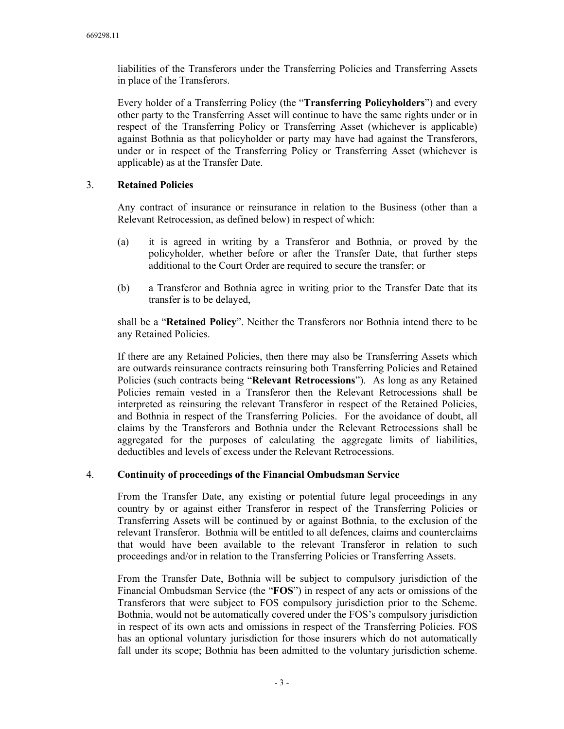liabilities of the Transferors under the Transferring Policies and Transferring Assets in place of the Transferors.

Every holder of a Transferring Policy (the "**Transferring Policyholders**") and every other party to the Transferring Asset will continue to have the same rights under or in respect of the Transferring Policy or Transferring Asset (whichever is applicable) against Bothnia as that policyholder or party may have had against the Transferors, under or in respect of the Transferring Policy or Transferring Asset (whichever is applicable) as at the Transfer Date.

# 3. **Retained Policies**

Any contract of insurance or reinsurance in relation to the Business (other than a Relevant Retrocession, as defined below) in respect of which:

- (a) it is agreed in writing by a Transferor and Bothnia, or proved by the policyholder, whether before or after the Transfer Date, that further steps additional to the Court Order are required to secure the transfer; or
- (b) a Transferor and Bothnia agree in writing prior to the Transfer Date that its transfer is to be delayed,

shall be a "**Retained Policy**". Neither the Transferors nor Bothnia intend there to be any Retained Policies.

If there are any Retained Policies, then there may also be Transferring Assets which are outwards reinsurance contracts reinsuring both Transferring Policies and Retained Policies (such contracts being "**Relevant Retrocessions**"). As long as any Retained Policies remain vested in a Transferor then the Relevant Retrocessions shall be interpreted as reinsuring the relevant Transferor in respect of the Retained Policies, and Bothnia in respect of the Transferring Policies. For the avoidance of doubt, all claims by the Transferors and Bothnia under the Relevant Retrocessions shall be aggregated for the purposes of calculating the aggregate limits of liabilities, deductibles and levels of excess under the Relevant Retrocessions.

# 4. **Continuity of proceedings of the Financial Ombudsman Service**

From the Transfer Date, any existing or potential future legal proceedings in any country by or against either Transferor in respect of the Transferring Policies or Transferring Assets will be continued by or against Bothnia, to the exclusion of the relevant Transferor. Bothnia will be entitled to all defences, claims and counterclaims that would have been available to the relevant Transferor in relation to such proceedings and/or in relation to the Transferring Policies or Transferring Assets.

From the Transfer Date, Bothnia will be subject to compulsory jurisdiction of the Financial Ombudsman Service (the "**FOS**") in respect of any acts or omissions of the Transferors that were subject to FOS compulsory jurisdiction prior to the Scheme. Bothnia, would not be automatically covered under the FOS's compulsory jurisdiction in respect of its own acts and omissions in respect of the Transferring Policies. FOS has an optional voluntary jurisdiction for those insurers which do not automatically fall under its scope; Bothnia has been admitted to the voluntary jurisdiction scheme.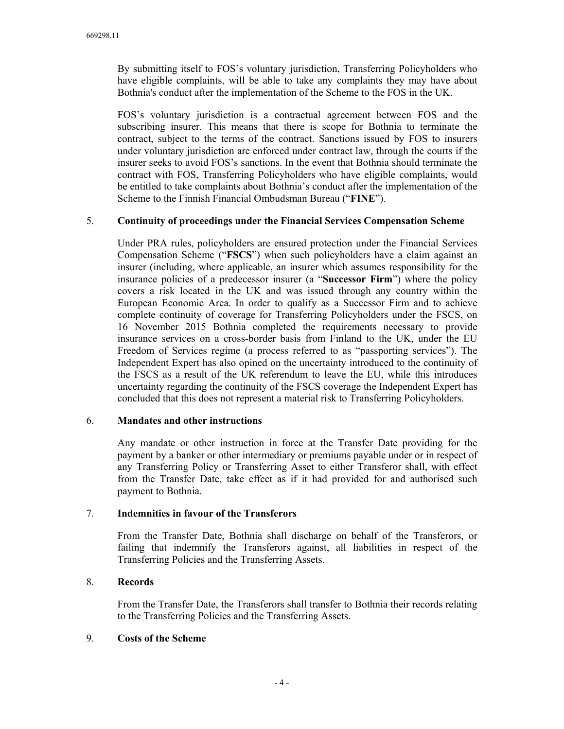By submitting itself to FOS's voluntary jurisdiction, Transferring Policyholders who have eligible complaints, will be able to take any complaints they may have about Bothnia's conduct after the implementation of the Scheme to the FOS in the UK.

FOS's voluntary jurisdiction is a contractual agreement between FOS and the subscribing insurer. This means that there is scope for Bothnia to terminate the contract, subject to the terms of the contract. Sanctions issued by FOS to insurers under voluntary jurisdiction are enforced under contract law, through the courts if the insurer seeks to avoid FOS's sanctions. In the event that Bothnia should terminate the contract with FOS, Transferring Policyholders who have eligible complaints, would be entitled to take complaints about Bothnia's conduct after the implementation of the Scheme to the Finnish Financial Ombudsman Bureau ("**FINE**").

#### 5. **Continuity of proceedings under the Financial Services Compensation Scheme**

Under PRA rules, policyholders are ensured protection under the Financial Services Compensation Scheme ("**FSCS**") when such policyholders have a claim against an insurer (including, where applicable, an insurer which assumes responsibility for the insurance policies of a predecessor insurer (a "**Successor Firm**") where the policy covers a risk located in the UK and was issued through any country within the European Economic Area. In order to qualify as a Successor Firm and to achieve complete continuity of coverage for Transferring Policyholders under the FSCS, on 16 November 2015 Bothnia completed the requirements necessary to provide insurance services on a cross-border basis from Finland to the UK, under the EU Freedom of Services regime (a process referred to as "passporting services"). The Independent Expert has also opined on the uncertainty introduced to the continuity of the FSCS as a result of the UK referendum to leave the EU, while this introduces uncertainty regarding the continuity of the FSCS coverage the Independent Expert has concluded that this does not represent a material risk to Transferring Policyholders.

# 6. **Mandates and other instructions**

Any mandate or other instruction in force at the Transfer Date providing for the payment by a banker or other intermediary or premiums payable under or in respect of any Transferring Policy or Transferring Asset to either Transferor shall, with effect from the Transfer Date, take effect as if it had provided for and authorised such payment to Bothnia.

# 7. **Indemnities in favour of the Transferors**

From the Transfer Date, Bothnia shall discharge on behalf of the Transferors, or failing that indemnify the Transferors against, all liabilities in respect of the Transferring Policies and the Transferring Assets.

# 8. **Records**

From the Transfer Date, the Transferors shall transfer to Bothnia their records relating to the Transferring Policies and the Transferring Assets.

#### 9. **Costs of the Scheme**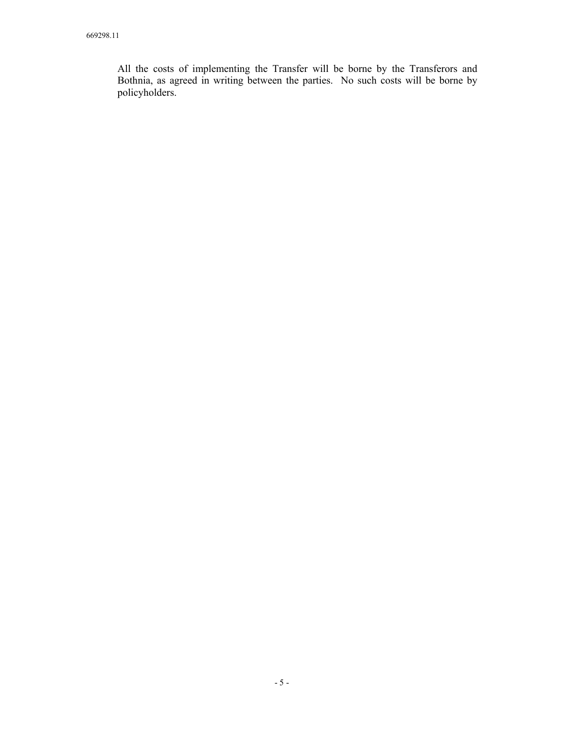All the costs of implementing the Transfer will be borne by the Transferors and Bothnia, as agreed in writing between the parties. No such costs will be borne by policyholders.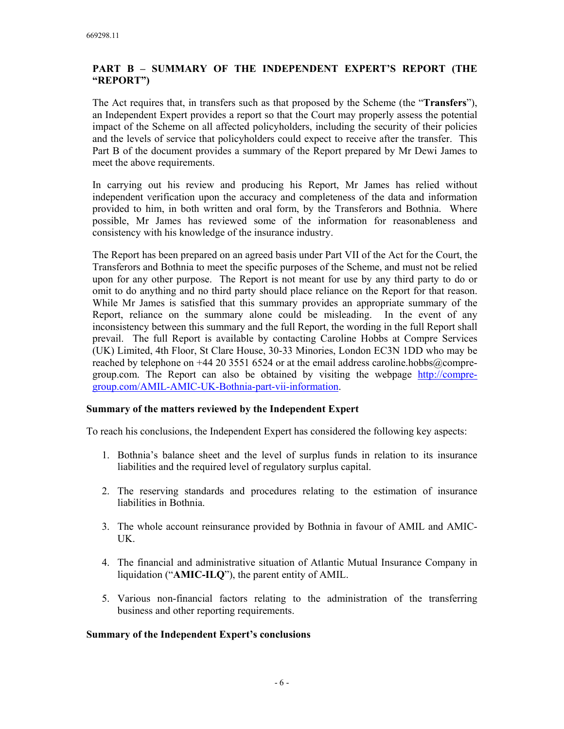# **PART B – SUMMARY OF THE INDEPENDENT EXPERT'S REPORT (THE "REPORT")**

The Act requires that, in transfers such as that proposed by the Scheme (the "**Transfers**"), an Independent Expert provides a report so that the Court may properly assess the potential impact of the Scheme on all affected policyholders, including the security of their policies and the levels of service that policyholders could expect to receive after the transfer. This Part B of the document provides a summary of the Report prepared by Mr Dewi James to meet the above requirements.

In carrying out his review and producing his Report, Mr James has relied without independent verification upon the accuracy and completeness of the data and information provided to him, in both written and oral form, by the Transferors and Bothnia. Where possible, Mr James has reviewed some of the information for reasonableness and consistency with his knowledge of the insurance industry.

The Report has been prepared on an agreed basis under Part VII of the Act for the Court, the Transferors and Bothnia to meet the specific purposes of the Scheme, and must not be relied upon for any other purpose. The Report is not meant for use by any third party to do or omit to do anything and no third party should place reliance on the Report for that reason. While Mr James is satisfied that this summary provides an appropriate summary of the Report, reliance on the summary alone could be misleading. In the event of any inconsistency between this summary and the full Report, the wording in the full Report shall prevail. The full Report is available by contacting Caroline Hobbs at Compre Services (UK) Limited, 4th Floor, St Clare House, 30-33 Minories, London EC3N 1DD who may be reached by telephone on +44 20 3551 6524 or at the email address caroline.hobbs@compregroup.com. The Report can also be obtained by visiting the webpage http://compregroup.com/AMIL-AMIC-UK-Bothnia-part-vii-information.

# **Summary of the matters reviewed by the Independent Expert**

To reach his conclusions, the Independent Expert has considered the following key aspects:

- 1. Bothnia's balance sheet and the level of surplus funds in relation to its insurance liabilities and the required level of regulatory surplus capital.
- 2. The reserving standards and procedures relating to the estimation of insurance liabilities in Bothnia.
- 3. The whole account reinsurance provided by Bothnia in favour of AMIL and AMIC-UK.
- 4. The financial and administrative situation of Atlantic Mutual Insurance Company in liquidation ("**AMIC-ILQ**"), the parent entity of AMIL.
- 5. Various non-financial factors relating to the administration of the transferring business and other reporting requirements.

#### **Summary of the Independent Expert's conclusions**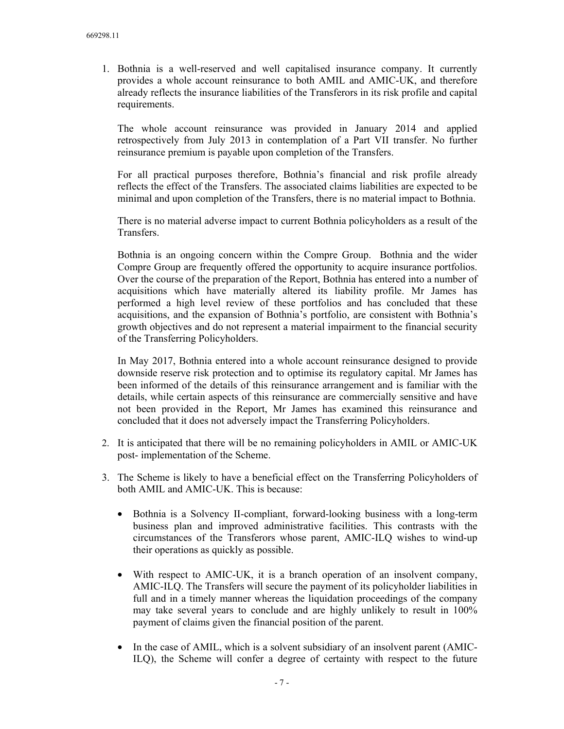1. Bothnia is a well-reserved and well capitalised insurance company. It currently provides a whole account reinsurance to both AMIL and AMIC-UK, and therefore already reflects the insurance liabilities of the Transferors in its risk profile and capital requirements.

The whole account reinsurance was provided in January 2014 and applied retrospectively from July 2013 in contemplation of a Part VII transfer. No further reinsurance premium is payable upon completion of the Transfers.

For all practical purposes therefore, Bothnia's financial and risk profile already reflects the effect of the Transfers. The associated claims liabilities are expected to be minimal and upon completion of the Transfers, there is no material impact to Bothnia.

There is no material adverse impact to current Bothnia policyholders as a result of the Transfers.

Bothnia is an ongoing concern within the Compre Group. Bothnia and the wider Compre Group are frequently offered the opportunity to acquire insurance portfolios. Over the course of the preparation of the Report, Bothnia has entered into a number of acquisitions which have materially altered its liability profile. Mr James has performed a high level review of these portfolios and has concluded that these acquisitions, and the expansion of Bothnia's portfolio, are consistent with Bothnia's growth objectives and do not represent a material impairment to the financial security of the Transferring Policyholders.

In May 2017, Bothnia entered into a whole account reinsurance designed to provide downside reserve risk protection and to optimise its regulatory capital. Mr James has been informed of the details of this reinsurance arrangement and is familiar with the details, while certain aspects of this reinsurance are commercially sensitive and have not been provided in the Report, Mr James has examined this reinsurance and concluded that it does not adversely impact the Transferring Policyholders.

- 2. It is anticipated that there will be no remaining policyholders in AMIL or AMIC-UK post- implementation of the Scheme.
- 3. The Scheme is likely to have a beneficial effect on the Transferring Policyholders of both AMIL and AMIC-UK. This is because:
	- Bothnia is a Solvency II-compliant, forward-looking business with a long-term business plan and improved administrative facilities. This contrasts with the circumstances of the Transferors whose parent, AMIC-ILQ wishes to wind-up their operations as quickly as possible.
	- With respect to AMIC-UK, it is a branch operation of an insolvent company, AMIC-ILQ. The Transfers will secure the payment of its policyholder liabilities in full and in a timely manner whereas the liquidation proceedings of the company may take several years to conclude and are highly unlikely to result in 100% payment of claims given the financial position of the parent.
	- In the case of AMIL, which is a solvent subsidiary of an insolvent parent (AMIC-ILQ), the Scheme will confer a degree of certainty with respect to the future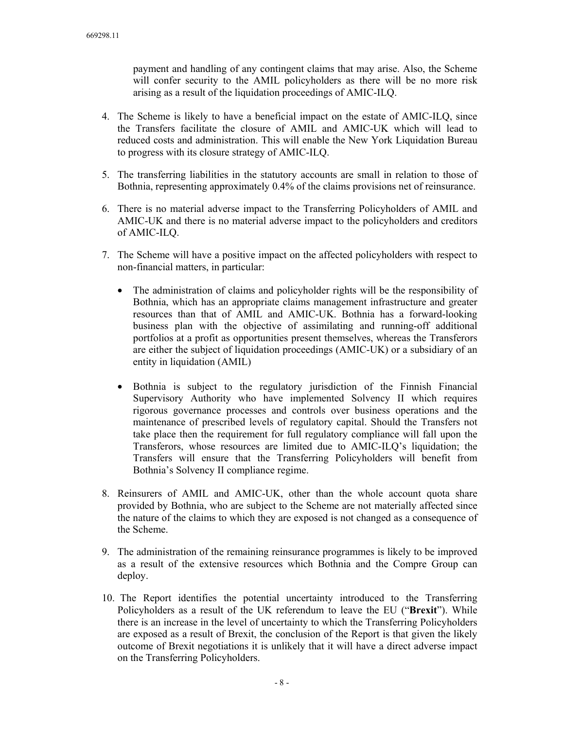payment and handling of any contingent claims that may arise. Also, the Scheme will confer security to the AMIL policyholders as there will be no more risk arising as a result of the liquidation proceedings of AMIC-ILQ.

- 4. The Scheme is likely to have a beneficial impact on the estate of AMIC-ILQ, since the Transfers facilitate the closure of AMIL and AMIC-UK which will lead to reduced costs and administration. This will enable the New York Liquidation Bureau to progress with its closure strategy of AMIC-ILQ.
- 5. The transferring liabilities in the statutory accounts are small in relation to those of Bothnia, representing approximately 0.4% of the claims provisions net of reinsurance.
- 6. There is no material adverse impact to the Transferring Policyholders of AMIL and AMIC-UK and there is no material adverse impact to the policyholders and creditors of AMIC-ILQ.
- 7. The Scheme will have a positive impact on the affected policyholders with respect to non-financial matters, in particular:
	- The administration of claims and policyholder rights will be the responsibility of Bothnia, which has an appropriate claims management infrastructure and greater resources than that of AMIL and AMIC-UK. Bothnia has a forward-looking business plan with the objective of assimilating and running-off additional portfolios at a profit as opportunities present themselves, whereas the Transferors are either the subject of liquidation proceedings (AMIC-UK) or a subsidiary of an entity in liquidation (AMIL)
	- Bothnia is subject to the regulatory jurisdiction of the Finnish Financial Supervisory Authority who have implemented Solvency II which requires rigorous governance processes and controls over business operations and the maintenance of prescribed levels of regulatory capital. Should the Transfers not take place then the requirement for full regulatory compliance will fall upon the Transferors, whose resources are limited due to AMIC-ILQ's liquidation; the Transfers will ensure that the Transferring Policyholders will benefit from Bothnia's Solvency II compliance regime.
- 8. Reinsurers of AMIL and AMIC-UK, other than the whole account quota share provided by Bothnia, who are subject to the Scheme are not materially affected since the nature of the claims to which they are exposed is not changed as a consequence of the Scheme.
- 9. The administration of the remaining reinsurance programmes is likely to be improved as a result of the extensive resources which Bothnia and the Compre Group can deploy.
- 10. The Report identifies the potential uncertainty introduced to the Transferring Policyholders as a result of the UK referendum to leave the EU ("**Brexit**"). While there is an increase in the level of uncertainty to which the Transferring Policyholders are exposed as a result of Brexit, the conclusion of the Report is that given the likely outcome of Brexit negotiations it is unlikely that it will have a direct adverse impact on the Transferring Policyholders.